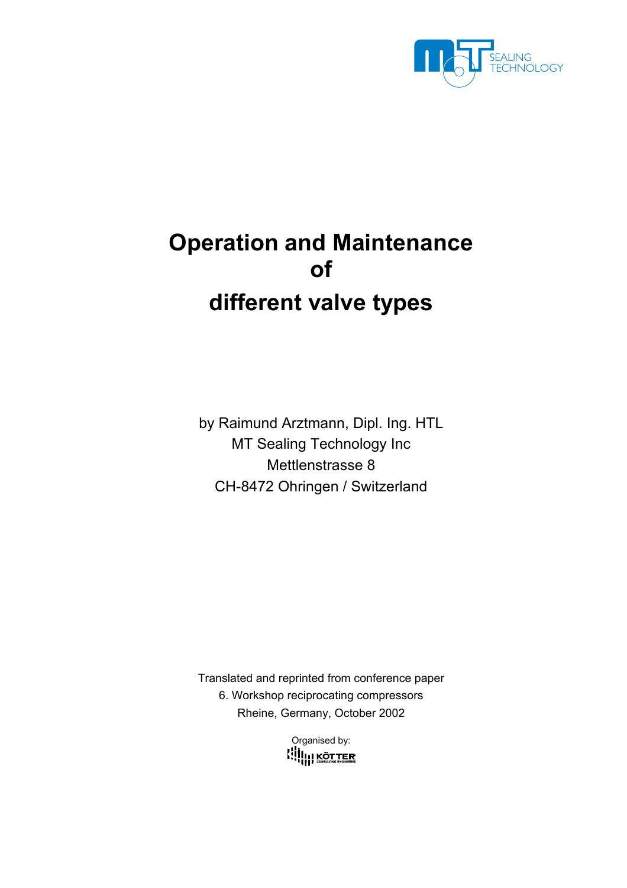

# **Operation and Maintenance of different valve types**

by Raimund Arztmann, Dipl. Ing. HTL MT Sealing Technology Inc Mettlenstrasse 8 CH-8472 Ohringen / Switzerland

Translated and reprinted from conference paper 6. Workshop reciprocating compressors Rheine, Germany, October 2002

> Organised by: **KUILI KÖTTER**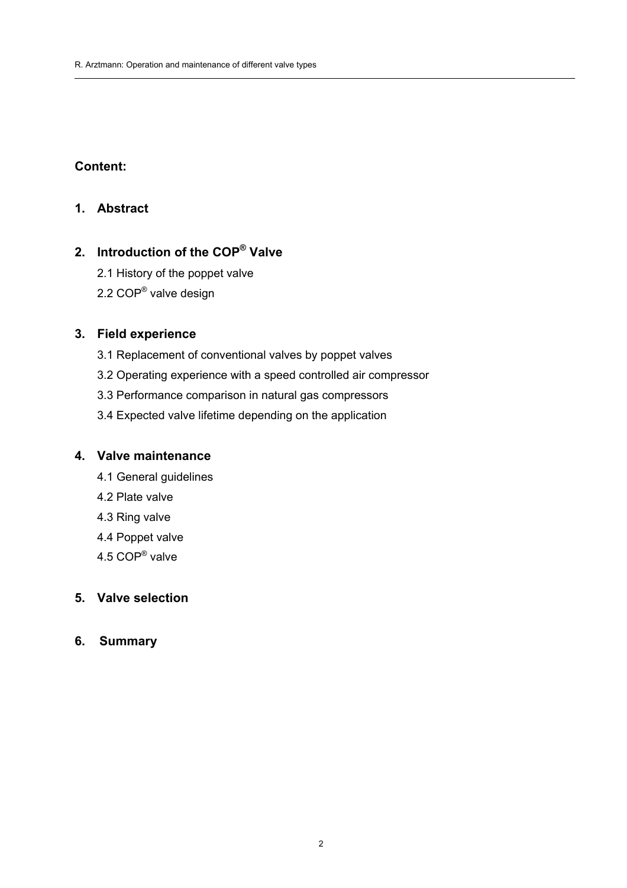## **Content:**

#### **1. Abstract**

# **2. Introduction of the COP® Valve**

- 2.1 History of the poppet valve
- 2.2 COP® valve design

### **3. Field experience**

- 3.1 Replacement of conventional valves by poppet valves
- 3.2 Operating experience with a speed controlled air compressor

 $\mathcal{L}=\{1,2,3,4,5\}$  , where  $\mathcal{L}=\{1,2,3,4,5\}$  , we can consider the set of  $\mathcal{L}=\{1,2,3,4,5\}$ 

- 3.3 Performance comparison in natural gas compressors
- 3.4 Expected valve lifetime depending on the application

#### **4. Valve maintenance**

- 4.1 General guidelines
- 4.2 Plate valve
- 4.3 Ring valve
- 4.4 Poppet valve
- 4.5 COP® valve

#### **5. Valve selection**

**6. Summary**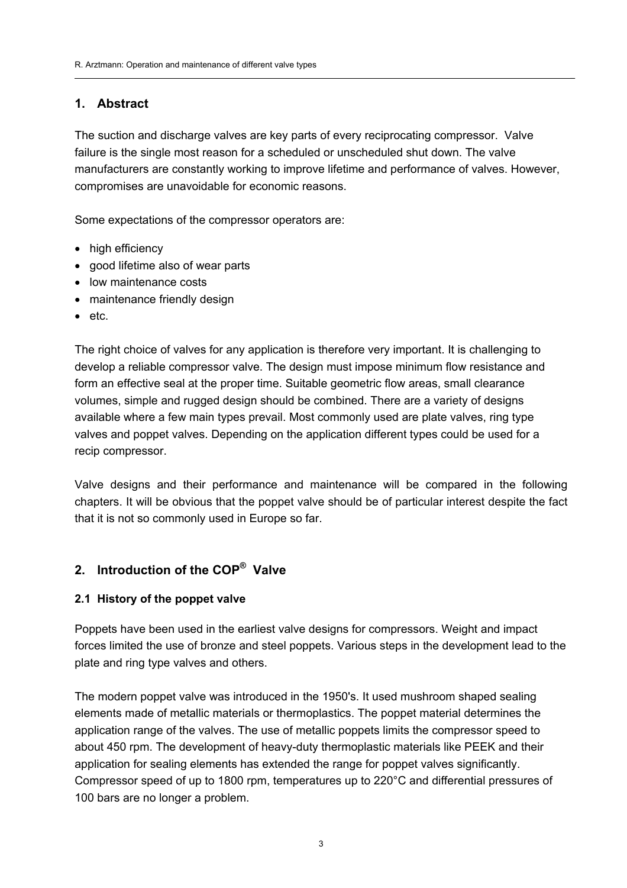#### **1. Abstract**

The suction and discharge valves are key parts of every reciprocating compressor. Valve failure is the single most reason for a scheduled or unscheduled shut down. The valve manufacturers are constantly working to improve lifetime and performance of valves. However, compromises are unavoidable for economic reasons.

 $\mathcal{L}=\{1,2,3,4,5\}$  , where  $\mathcal{L}=\{1,2,3,4,5\}$  , we can consider the set of  $\mathcal{L}=\{1,2,3,4,5\}$ 

Some expectations of the compressor operators are:

- high efficiency
- good lifetime also of wear parts
- low maintenance costs
- maintenance friendly design
- etc.

The right choice of valves for any application is therefore very important. It is challenging to develop a reliable compressor valve. The design must impose minimum flow resistance and form an effective seal at the proper time. Suitable geometric flow areas, small clearance volumes, simple and rugged design should be combined. There are a variety of designs available where a few main types prevail. Most commonly used are plate valves, ring type valves and poppet valves. Depending on the application different types could be used for a recip compressor.

Valve designs and their performance and maintenance will be compared in the following chapters. It will be obvious that the poppet valve should be of particular interest despite the fact that it is not so commonly used in Europe so far.

### **2. Introduction of the COP® Valve**

#### **2.1 History of the poppet valve**

Poppets have been used in the earliest valve designs for compressors. Weight and impact forces limited the use of bronze and steel poppets. Various steps in the development lead to the plate and ring type valves and others.

The modern poppet valve was introduced in the 1950's. It used mushroom shaped sealing elements made of metallic materials or thermoplastics. The poppet material determines the application range of the valves. The use of metallic poppets limits the compressor speed to about 450 rpm. The development of heavy-duty thermoplastic materials like PEEK and their application for sealing elements has extended the range for poppet valves significantly. Compressor speed of up to 1800 rpm, temperatures up to 220°C and differential pressures of 100 bars are no longer a problem.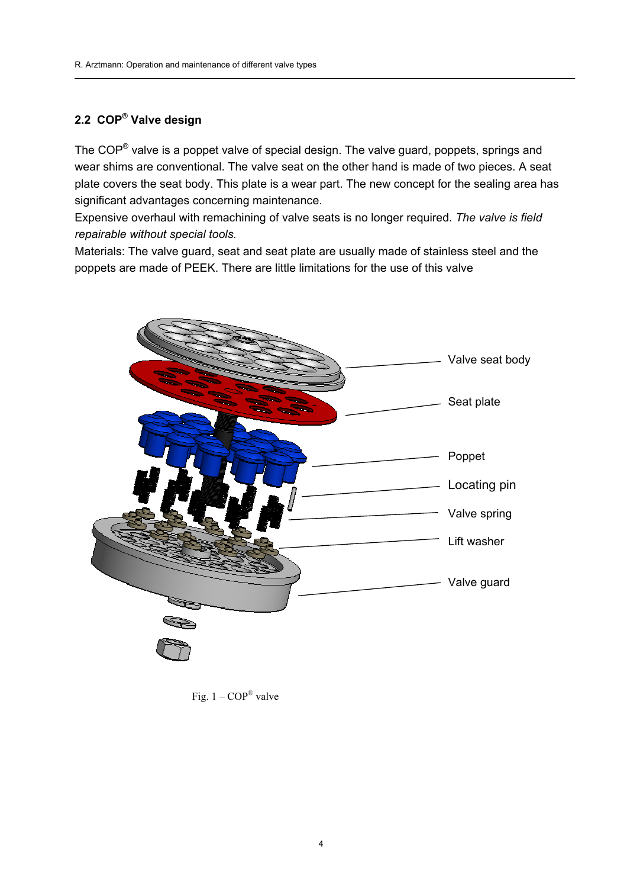#### **2.2 COP® Valve design**

The COP® valve is a poppet valve of special design. The valve guard, poppets, springs and wear shims are conventional. The valve seat on the other hand is made of two pieces. A seat plate covers the seat body. This plate is a wear part. The new concept for the sealing area has significant advantages concerning maintenance.

 $\mathcal{L}=\{1,2,3,4,5\}$  , where  $\mathcal{L}=\{1,2,3,4,5\}$  , we can consider the set of  $\mathcal{L}=\{1,2,3,4,5\}$ 

Expensive overhaul with remachining of valve seats is no longer required. *The valve is field repairable without special tools.*

Materials: The valve guard, seat and seat plate are usually made of stainless steel and the poppets are made of PEEK. There are little limitations for the use of this valve



Fig.  $1 - COP^{\circledR}$  valve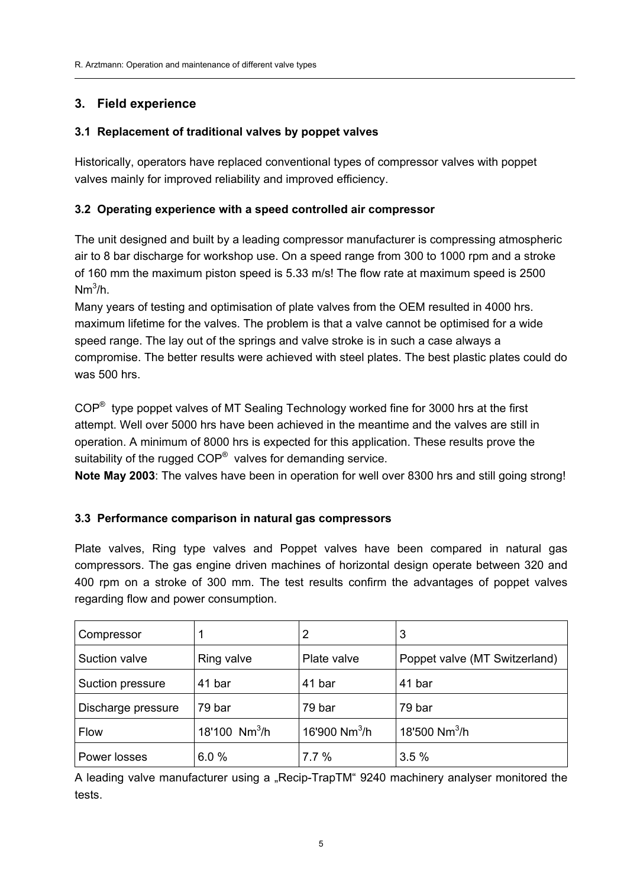### **3. Field experience**

#### **3.1 Replacement of traditional valves by poppet valves**

Historically, operators have replaced conventional types of compressor valves with poppet valves mainly for improved reliability and improved efficiency.

 $\mathcal{L}=\{1,2,3,4,5\}$  , where  $\mathcal{L}=\{1,2,3,4,5\}$  , we can consider the set of  $\mathcal{L}=\{1,2,3,4,5\}$ 

#### **3.2 Operating experience with a speed controlled air compressor**

The unit designed and built by a leading compressor manufacturer is compressing atmospheric air to 8 bar discharge for workshop use. On a speed range from 300 to 1000 rpm and a stroke of 160 mm the maximum piston speed is 5.33 m/s! The flow rate at maximum speed is 2500  $Nm^3/h$ .

Many years of testing and optimisation of plate valves from the OEM resulted in 4000 hrs. maximum lifetime for the valves. The problem is that a valve cannot be optimised for a wide speed range. The lay out of the springs and valve stroke is in such a case always a compromise. The better results were achieved with steel plates. The best plastic plates could do was 500 hrs.

 $COP^®$  type poppet valves of MT Sealing Technology worked fine for 3000 hrs at the first attempt. Well over 5000 hrs have been achieved in the meantime and the valves are still in operation. A minimum of 8000 hrs is expected for this application. These results prove the suitability of the rugged  $COP^{\circledcirc}$  valves for demanding service.

**Note May 2003**: The valves have been in operation for well over 8300 hrs and still going strong!

#### **3.3 Performance comparison in natural gas compressors**

Plate valves, Ring type valves and Poppet valves have been compared in natural gas compressors. The gas engine driven machines of horizontal design operate between 320 and 400 rpm on a stroke of 300 mm. The test results confirm the advantages of poppet valves regarding flow and power consumption.

| Compressor         |                 | 2                         | 3                             |
|--------------------|-----------------|---------------------------|-------------------------------|
| Suction valve      | Ring valve      | Plate valve               | Poppet valve (MT Switzerland) |
| Suction pressure   | 41 bar          | 41 bar                    | 41 bar                        |
| Discharge pressure | 79 bar          | 79 bar                    | 79 bar                        |
| Flow               | 18'100 $Nm^3/h$ | 16'900 Nm <sup>3</sup> /h | 18'500 Nm <sup>3</sup> /h     |
| Power losses       | 6.0%            | 7.7%                      | 3.5%                          |

A leading valve manufacturer using a "Recip-TrapTM" 9240 machinery analyser monitored the tests.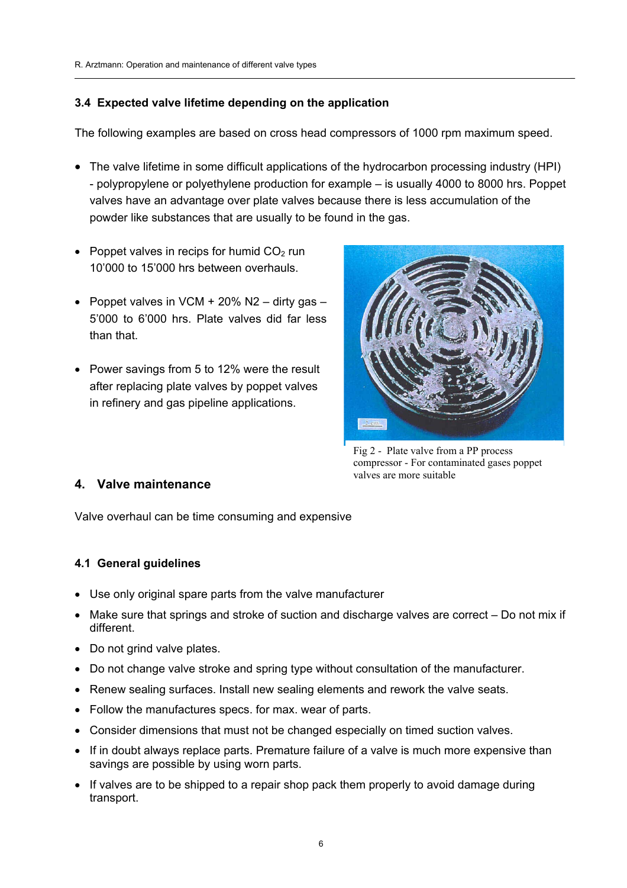#### **3.4 Expected valve lifetime depending on the application**

The following examples are based on cross head compressors of 1000 rpm maximum speed.

 $\mathcal{L}=\{1,2,3,4,5\}$  , where  $\mathcal{L}=\{1,2,3,4,5\}$  , we can consider the set of  $\mathcal{L}=\{1,2,3,4,5\}$ 

- The valve lifetime in some difficult applications of the hydrocarbon processing industry (HPI) - polypropylene or polyethylene production for example – is usually 4000 to 8000 hrs. Poppet valves have an advantage over plate valves because there is less accumulation of the powder like substances that are usually to be found in the gas.
- Poppet valves in recips for humid  $CO<sub>2</sub>$  run 10'000 to 15'000 hrs between overhauls.
- Poppet valves in VCM  $+$  20% N2 dirty gas 5'000 to 6'000 hrs. Plate valves did far less than that.
- Power savings from 5 to 12% were the result after replacing plate valves by poppet valves in refinery and gas pipeline applications.



Fig 2 - Plate valve from a PP process compressor - For contaminated gases poppet valves are more suitable

#### **4. Valve maintenance**

Valve overhaul can be time consuming and expensive

#### **4.1 General guidelines**

- Use only original spare parts from the valve manufacturer
- Make sure that springs and stroke of suction and discharge valves are correct Do not mix if different.
- Do not grind valve plates.
- Do not change valve stroke and spring type without consultation of the manufacturer.
- Renew sealing surfaces. Install new sealing elements and rework the valve seats.
- Follow the manufactures specs. for max. wear of parts.
- Consider dimensions that must not be changed especially on timed suction valves.
- If in doubt always replace parts. Premature failure of a valve is much more expensive than savings are possible by using worn parts.
- If valves are to be shipped to a repair shop pack them properly to avoid damage during transport.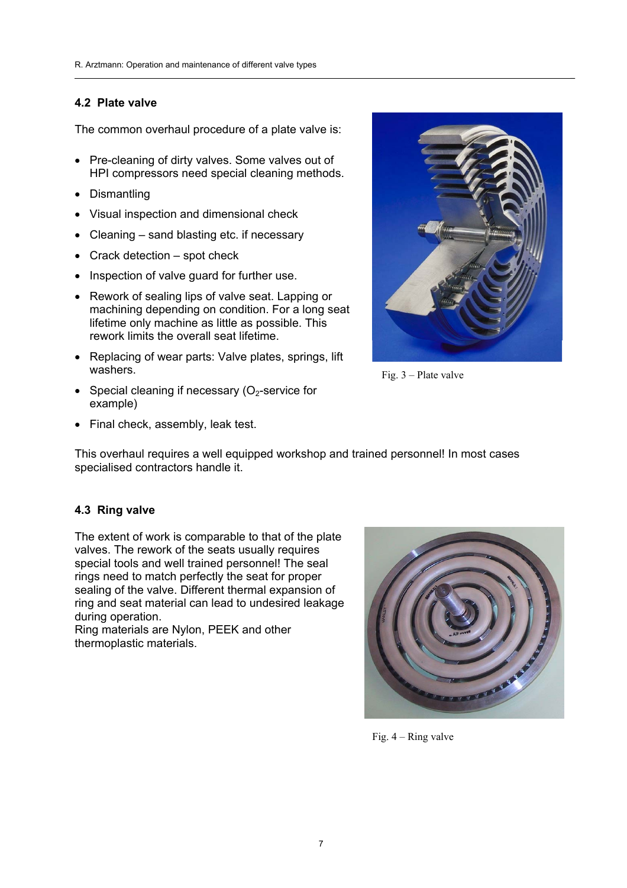#### **4.2 Plate valve**

The common overhaul procedure of a plate valve is:

- Pre-cleaning of dirty valves. Some valves out of HPI compressors need special cleaning methods.
- Dismantling
- Visual inspection and dimensional check
- Cleaning sand blasting etc. if necessary
- Crack detection spot check
- Inspection of valve guard for further use.
- Rework of sealing lips of valve seat. Lapping or machining depending on condition. For a long seat lifetime only machine as little as possible. This rework limits the overall seat lifetime.
- Replacing of wear parts: Valve plates, springs, lift washers.
- Special cleaning if necessary  $(O<sub>2</sub>-s)$ ervice for example)
- 
- Final check, assembly, leak test.

This overhaul requires a well equipped workshop and trained personnel! In most cases specialised contractors handle it.

 $\mathcal{L}=\{1,2,3,4,5\}$  , where  $\mathcal{L}=\{1,2,3,4,5\}$  , we can consider the set of  $\mathcal{L}=\{1,2,3,4,5\}$ 

#### **4.3 Ring valve**

The extent of work is comparable to that of the plate valves. The rework of the seats usually requires special tools and well trained personnel! The seal rings need to match perfectly the seat for proper sealing of the valve. Different thermal expansion of ring and seat material can lead to undesired leakage during operation.

Ring materials are Nylon, PEEK and other thermoplastic materials.



Fig. 4 – Ring valve

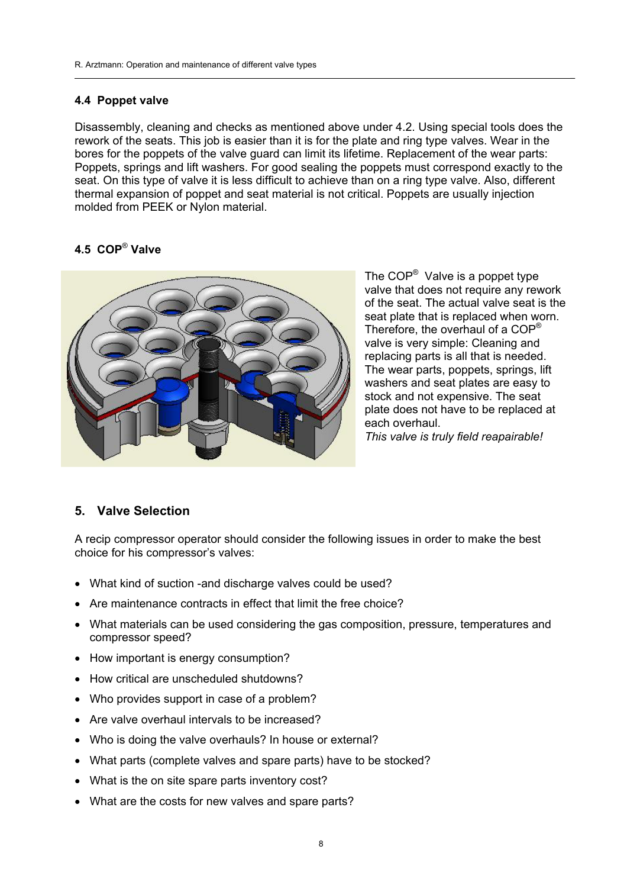#### **4.4 Poppet valve**

Disassembly, cleaning and checks as mentioned above under 4.2. Using special tools does the rework of the seats. This job is easier than it is for the plate and ring type valves. Wear in the bores for the poppets of the valve guard can limit its lifetime. Replacement of the wear parts: Poppets, springs and lift washers. For good sealing the poppets must correspond exactly to the seat. On this type of valve it is less difficult to achieve than on a ring type valve. Also, different thermal expansion of poppet and seat material is not critical. Poppets are usually injection molded from PEEK or Nylon material.

 $\mathcal{L}=\{1,2,3,4,5\}$  , where  $\mathcal{L}=\{1,2,3,4,5\}$  , we can consider the set of  $\mathcal{L}=\{1,2,3,4,5\}$ 

#### **4.5 COP**® **Valve**



The COP® Valve is a poppet type valve that does not require any rework of the seat. The actual valve seat is the seat plate that is replaced when worn. Therefore, the overhaul of a COP® valve is very simple: Cleaning and replacing parts is all that is needed. The wear parts, poppets, springs, lift washers and seat plates are easy to stock and not expensive. The seat plate does not have to be replaced at each overhaul. *This valve is truly field reapairable!* 

#### **5. Valve Selection**

A recip compressor operator should consider the following issues in order to make the best choice for his compressor's valves:

- What kind of suction -and discharge valves could be used?
- Are maintenance contracts in effect that limit the free choice?
- What materials can be used considering the gas composition, pressure, temperatures and compressor speed?
- How important is energy consumption?
- How critical are unscheduled shutdowns?
- Who provides support in case of a problem?
- Are valve overhaul intervals to be increased?
- Who is doing the valve overhauls? In house or external?
- What parts (complete valves and spare parts) have to be stocked?
- What is the on site spare parts inventory cost?
- What are the costs for new valves and spare parts?